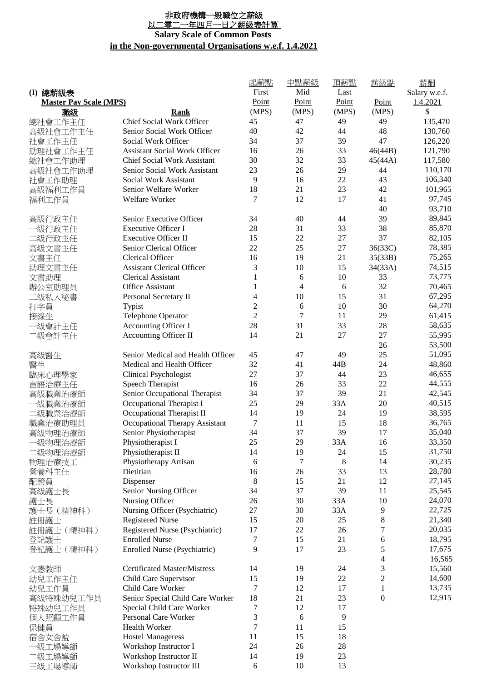## 非政府機構一般職位之薪級 <u>以二零二一年四月一日之薪級表計算</u> **Salary Scale of Common Posts in the Non-governmental Organisations w.e.f. 1.4.2021**

|                               |                                      | 起薪點              | 中點薪級  | 頂薪點   | <u>薪級點</u>       | 薪酬            |
|-------------------------------|--------------------------------------|------------------|-------|-------|------------------|---------------|
| (I) 總薪級表                      |                                      | First            | Mid   | Last  |                  | Salary w.e.f. |
| <b>Master Pay Scale (MPS)</b> |                                      | Point            | Point | Point | Point            | 1.4.2021      |
| 職級                            | Rank                                 | (MPS)            | (MPS) | (MPS) | (MPS)            | \$            |
| 總社會工作主任                       | Chief Social Work Officer            | 45               | 47    | 49    | 49               | 135,470       |
| 高級社會工作主任                      | Senior Social Work Officer           | 40               | 42    | 44    | 48               | 130,760       |
| 社會工作主任                        | Social Work Officer                  | 34               | 37    | 39    | 47               | 126,220       |
| 助理社會工作主任                      | <b>Assistant Social Work Officer</b> | 16               | 26    | 33    | 46(44B)          | 121,790       |
| 總社會工作助理                       | <b>Chief Social Work Assistant</b>   | 30               | 32    | 33    | 45(44A)          | 117,580       |
| 高級社會工作助理                      | Senior Social Work Assistant         | 23               | 26    | 29    | 44               | 110,170       |
| 社會工作助理                        | Social Work Assistant                | 9                | 16    | 22    | 43               | 106,340       |
| 高級福利工作員                       | Senior Welfare Worker                | 18               | 21    | 23    | 42               | 101,965       |
| 福利工作員                         | Welfare Worker                       | 7                | 12    | 17    | 41               | 97,745        |
|                               |                                      |                  |       |       | 40               | 93,710        |
| 高級行政主任                        | Senior Executive Officer             | 34               | 40    | 44    | 39               | 89,845        |
| 一級行政主任                        | Executive Officer I                  | 28               | 31    | 33    | 38               | 85,870        |
| 二級行政主任                        | <b>Executive Officer II</b>          | 15               | 22    | 27    | 37               | 82,105        |
| 高級文書主任                        | Senior Clerical Officer              | 22               | 25    | 27    | 36(33C)          | 78,385        |
| 文書主任                          | Clerical Officer                     | 16               | 19    | 21    | 35(33B)          | 75,265        |
| 助理文書主任                        | <b>Assistant Clerical Officer</b>    | 3                | 10    | 15    | 34(33A)          | 74,515        |
| 文書助理                          | <b>Clerical Assistant</b>            | 1                | 6     | 10    | 33               | 73,775        |
|                               | <b>Office Assistant</b>              | $\mathbf{1}$     | 4     | 6     | 32               | 70,465        |
| 辦公室助理員                        | Personal Secretary II                | 4                | 10    | 15    | 31               | 67,295        |
| 二級私人秘書                        |                                      | $\overline{c}$   | 6     | 10    | 30               | 64,270        |
| 打字員                           | Typist                               | $\overline{2}$   |       | 11    |                  |               |
| 接線生                           | Telephone Operator                   |                  | 7     |       | 29               | 61,415        |
| 一級會計主任                        | Accounting Officer I                 | 28               | 31    | 33    | 28               | 58,635        |
| 二級會計主任                        | Accounting Officer II                | 14               | 21    | 27    | 27               | 55,995        |
|                               |                                      |                  |       |       | 26               | 53,500        |
| 高級醫生                          | Senior Medical and Health Officer    | 45               | 47    | 49    | 25               | 51,095        |
| 醫生                            | Medical and Health Officer           | 32               | 41    | 44B   | 24               | 48,860        |
| 臨床心理學家                        | <b>Clinical Psychologist</b>         | 27               | 37    | 44    | 23               | 46,655        |
| 言語治療主任                        | Speech Therapist                     | 16               | 26    | 33    | 22               | 44,555        |
| 高級職業治療師                       | Senior Occupational Therapist        | 34               | 37    | 39    | 21               | 42,545        |
| 一級職業治療師                       | Occupational Therapist I             | 25               | 29    | 33A   | 20               | 40,515        |
| 二級職業治療師                       | Occupational Therapist II            | 14               | 19    | 24    | 19               | 38,595        |
| 職業治療助理員                       | Occupational Therapy Assistant       | $\boldsymbol{7}$ | 11    | 15    | 18               | 36,765        |
| 高級物理治療師                       | Senior Physiotherapist               | 34               | 37    | 39    | 17               | 35,040        |
| ·級物理治療師                       | Physiotherapist I                    | 25               | 29    | 33A   | 16               | 33,350        |
| 二級物理治療師                       | Physiotherapist II                   | 14               | 19    | 24    | 15               | 31,750        |
| 物理治療技工                        | Physiotherapy Artisan                | 6                | 7     | 8     | 14               | 30,235        |
| 營養科主任                         | Dietitian                            | 16               | 26    | 33    | 13               | 28,780        |
| 配藥員                           | Dispenser                            | 8                | 15    | 21    | 12               | 27,145        |
| 高級護士長                         | Senior Nursing Officer               | 34               | 37    | 39    | 11               | 25,545        |
| 護士長                           | Nursing Officer                      | 26               | 30    | 33A   | 10               | 24,070        |
| 護士長 (精神科)                     | Nursing Officer (Psychiatric)        | 27               | 30    | 33A   | 9                | 22,725        |
| 註冊護士                          | <b>Registered Nurse</b>              | 15               | 20    | 25    | 8                | 21,340        |
| 註冊護士 (精神科)                    | Registered Nurse (Psychiatric)       | 17               | 22    | 26    | 7                | 20,035        |
| 登記護士                          | <b>Enrolled Nurse</b>                | 7                | 15    | 21    | 6                | 18,795        |
| 登記護士 (精神科)                    | Enrolled Nurse (Psychiatric)         | 9                | 17    | 23    | 5                | 17,675        |
|                               |                                      |                  |       |       | 4                | 16,565        |
| 文憑教師                          | <b>Certificated Master/Mistress</b>  | 14               | 19    | 24    | 3                | 15,560        |
| 幼兒工作主任                        | Child Care Supervisor                | 15               | 19    | 22    | $\overline{c}$   | 14,600        |
| 幼兒工作員                         | Child Care Worker                    | 7                | 12    | 17    | $\mathbf{1}$     | 13,735        |
| 高級特殊幼兒工作員                     | Senior Special Child Care Worker     | 18               | 21    | 23    | $\boldsymbol{0}$ | 12,915        |
| 特殊幼兒工作員                       | Special Child Care Worker            | 7                | 12    | 17    |                  |               |
| 個人照顧工作員                       | Personal Care Worker                 | 3                | 6     | 9     |                  |               |
| 保健員                           | Health Worker                        | 7                | 11    | 15    |                  |               |
| 宿舍女舍監                         | <b>Hostel Manageress</b>             | 11               | 15    | 18    |                  |               |
| ─級工場導師                        | Workshop Instructor I                | 24               | 26    | 28    |                  |               |
| 二級工場導師                        | Workshop Instructor II               | 14               | 19    | 23    |                  |               |
| 三級工場導師                        | Workshop Instructor III              | 6                | 10    | 13    |                  |               |
|                               |                                      |                  |       |       |                  |               |